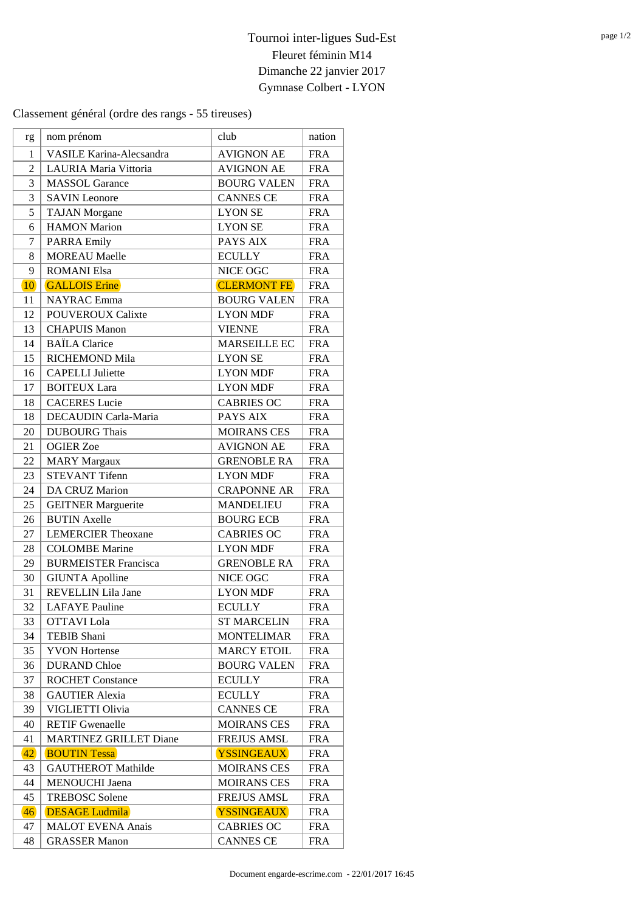Classement général (ordre des rangs - 55 tireuses)

| rg               | nom prénom                      | club                | nation     |
|------------------|---------------------------------|---------------------|------------|
| $\mathbf{1}$     | <b>VASILE Karina-Alecsandra</b> | <b>AVIGNON AE</b>   | <b>FRA</b> |
| $\overline{2}$   | LAURIA Maria Vittoria           | <b>AVIGNON AE</b>   | <b>FRA</b> |
| 3                | <b>MASSOL</b> Garance           | <b>BOURG VALEN</b>  | <b>FRA</b> |
| 3                | <b>SAVIN Leonore</b>            | <b>CANNES CE</b>    | <b>FRA</b> |
| 5                | <b>TAJAN</b> Morgane            | <b>LYON SE</b>      | <b>FRA</b> |
| 6                | <b>HAMON</b> Marion             | <b>LYON SE</b>      | <b>FRA</b> |
| $\boldsymbol{7}$ | <b>PARRA Emily</b>              | PAYS AIX            | <b>FRA</b> |
| 8                | <b>MOREAU</b> Maelle            | <b>ECULLY</b>       | <b>FRA</b> |
| 9                | <b>ROMANI Elsa</b>              | NICE OGC            | <b>FRA</b> |
| <b>10</b>        | <b>GALLOIS Erine</b>            | <b>CLERMONT FE</b>  | <b>FRA</b> |
| 11               | <b>NAYRAC</b> Emma              | <b>BOURG VALEN</b>  | <b>FRA</b> |
| 12               | <b>POUVEROUX Calixte</b>        | <b>LYON MDF</b>     | <b>FRA</b> |
| 13               | <b>CHAPUIS Manon</b>            | <b>VIENNE</b>       | <b>FRA</b> |
| 14               | <b>BAÏLA Clarice</b>            | <b>MARSEILLE EC</b> | <b>FRA</b> |
| 15               | RICHEMOND Mila                  | <b>LYON SE</b>      | <b>FRA</b> |
| 16               | <b>CAPELLI Juliette</b>         | <b>LYON MDF</b>     | <b>FRA</b> |
| 17               | <b>BOITEUX</b> Lara             | <b>LYON MDF</b>     | <b>FRA</b> |
| 18               | <b>CACERES</b> Lucie            | <b>CABRIES OC</b>   | <b>FRA</b> |
| 18               | DECAUDIN Carla-Maria            | PAYS AIX            | <b>FRA</b> |
| 20               | <b>DUBOURG</b> Thais            | <b>MOIRANS CES</b>  | <b>FRA</b> |
| 21               | <b>OGIER Zoe</b>                | <b>AVIGNON AE</b>   | <b>FRA</b> |
| 22               | <b>MARY Margaux</b>             | <b>GRENOBLE RA</b>  | <b>FRA</b> |
| 23               | <b>STEVANT Tifenn</b>           | <b>LYON MDF</b>     | <b>FRA</b> |
| 24               | DA CRUZ Marion                  | <b>CRAPONNE AR</b>  | <b>FRA</b> |
| 25               | <b>GEITNER Marguerite</b>       | <b>MANDELIEU</b>    | <b>FRA</b> |
| 26               | <b>BUTIN Axelle</b>             | <b>BOURG ECB</b>    | <b>FRA</b> |
| 27               | <b>LEMERCIER Theoxane</b>       | <b>CABRIES OC</b>   | <b>FRA</b> |
| 28               | <b>COLOMBE</b> Marine           | <b>LYON MDF</b>     | <b>FRA</b> |
| 29               | <b>BURMEISTER Francisca</b>     | <b>GRENOBLE RA</b>  | <b>FRA</b> |
| 30               | <b>GIUNTA Apolline</b>          | NICE OGC            | <b>FRA</b> |
| 31               | <b>REVELLIN Lila Jane</b>       | <b>LYON MDF</b>     | <b>FRA</b> |
| 32               | <b>LAFAYE</b> Pauline           | <b>ECULLY</b>       | <b>FRA</b> |
| 33               | OTTAVI Lola                     | <b>ST MARCELIN</b>  | <b>FRA</b> |
| 34               | TEBIB Shani                     | <b>MONTELIMAR</b>   | <b>FRA</b> |
| 35               | <b>YVON</b> Hortense            | <b>MARCY ETOIL</b>  | <b>FRA</b> |
| 36               | <b>DURAND</b> Chloe             | <b>BOURG VALEN</b>  | <b>FRA</b> |
| 37               | <b>ROCHET Constance</b>         | <b>ECULLY</b>       | <b>FRA</b> |
| 38               | <b>GAUTIER Alexia</b>           | <b>ECULLY</b>       | <b>FRA</b> |
| 39               | VIGLIETTI Olivia                | <b>CANNES CE</b>    | <b>FRA</b> |
| 40               | <b>RETIF Gwenaelle</b>          | <b>MOIRANS CES</b>  | <b>FRA</b> |
| 41               | <b>MARTINEZ GRILLET Diane</b>   | <b>FREJUS AMSL</b>  | <b>FRA</b> |
| 42               | <b>BOUTIN Tessa</b>             | <b>YSSINGEAUX</b>   | <b>FRA</b> |
| 43               | <b>GAUTHEROT Mathilde</b>       | <b>MOIRANS CES</b>  | <b>FRA</b> |
| 44               | <b>MENOUCHI</b> Jaena           | <b>MOIRANS CES</b>  | <b>FRA</b> |
| 45               | <b>TREBOSC Solene</b>           | <b>FREJUS AMSL</b>  | <b>FRA</b> |
| 46               | <b>DESAGE Ludmila</b>           | <b>YSSINGEAUX</b>   | <b>FRA</b> |
| 47               | <b>MALOT EVENA Anais</b>        | <b>CABRIES OC</b>   | <b>FRA</b> |
| 48               | <b>GRASSER Manon</b>            | <b>CANNES CE</b>    | <b>FRA</b> |